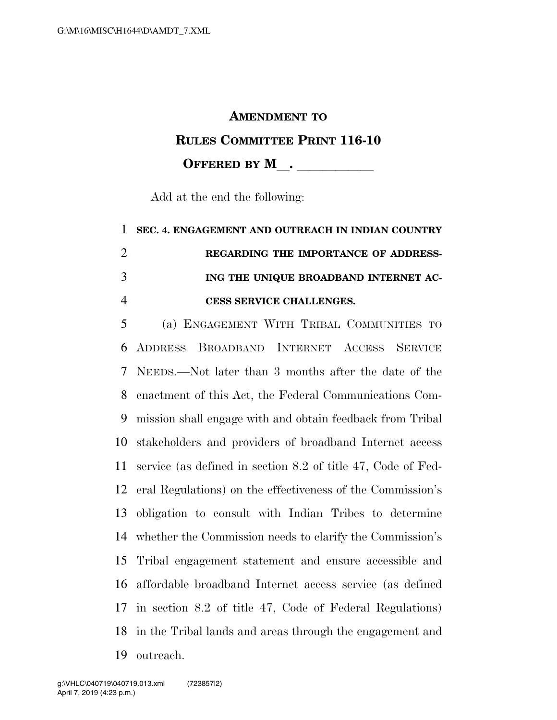## **AMENDMENT TO**

## **RULES COMMITTEE PRINT 116-10**

## **OFFERED BY M**.

Add at the end the following:

## **SEC. 4. ENGAGEMENT AND OUTREACH IN INDIAN COUNTRY REGARDING THE IMPORTANCE OF ADDRESS- ING THE UNIQUE BROADBAND INTERNET AC-CESS SERVICE CHALLENGES.**

 (a) ENGAGEMENT WITH TRIBAL COMMUNITIES TO ADDRESS BROADBAND INTERNET ACCESS SERVICE NEEDS.—Not later than 3 months after the date of the enactment of this Act, the Federal Communications Com- mission shall engage with and obtain feedback from Tribal stakeholders and providers of broadband Internet access service (as defined in section 8.2 of title 47, Code of Fed- eral Regulations) on the effectiveness of the Commission's obligation to consult with Indian Tribes to determine whether the Commission needs to clarify the Commission's Tribal engagement statement and ensure accessible and affordable broadband Internet access service (as defined in section 8.2 of title 47, Code of Federal Regulations) in the Tribal lands and areas through the engagement and outreach.